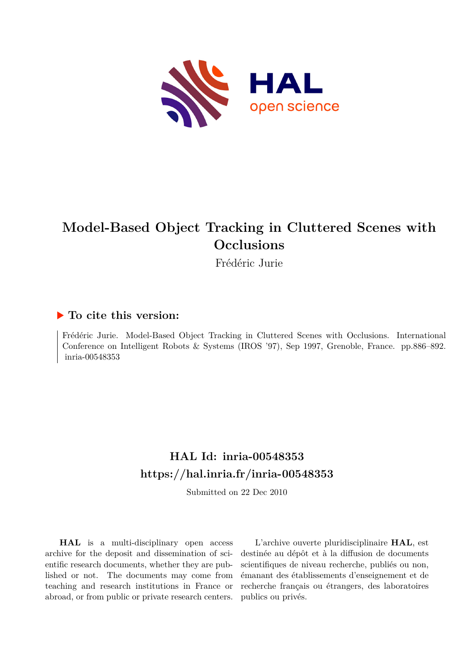

# **Model-Based Object Tracking in Cluttered Scenes with Occlusions**

Frédéric Jurie

## **To cite this version:**

Frédéric Jurie. Model-Based Object Tracking in Cluttered Scenes with Occlusions. International Conference on Intelligent Robots & Systems (IROS '97), Sep 1997, Grenoble, France. pp.886–892. inria-00548353

# **HAL Id: inria-00548353 <https://hal.inria.fr/inria-00548353>**

Submitted on 22 Dec 2010

**HAL** is a multi-disciplinary open access archive for the deposit and dissemination of scientific research documents, whether they are published or not. The documents may come from teaching and research institutions in France or abroad, or from public or private research centers.

L'archive ouverte pluridisciplinaire **HAL**, est destinée au dépôt et à la diffusion de documents scientifiques de niveau recherche, publiés ou non, émanant des établissements d'enseignement et de recherche français ou étrangers, des laboratoires publics ou privés.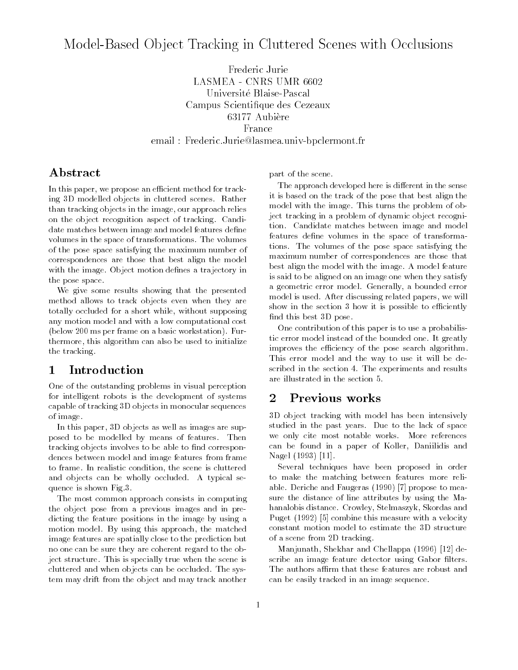## Model-Based Ob ject Tracking in Cluttered Scenes with Occlusions

Frederic Jurie LASMEA - CNRS UMR 6602 Universite Blaise-Pascal Campus Scientique des Cezeaux 63177 Aubiere France email : Frederic.Jurie@lasmea.univ-bpclermont.fr

## **Abstract**

In this paper, we propose an efficient method for tracking 3D modelled objects in cluttered scenes. Rather than tracking objects in the image, our approach relies on the object recognition aspect of tracking. Candidate matches between image and model features define volumes in the space of transformations. The volumes of the pose space satisfying the maximum number of correspondences are those that best align the model with the image. Object motion defines a trajectory in the pose space.

We give some results showing that the presented method allows to track objects even when they are totally occluded for a short while, without supposing any motion model and with a low computational cost (below 200 ms per frame on a basic workstation). Furthermore, this algorithm can also be used to initialize the tracking.

### Introduction  $\mathbf{1}$

One of the outstanding problems in visual perception for intelligent robots is the development of systems capable of tracking 3D objects in monocular sequences of image.

In this paper, 3D objects as well as images are supposed to be modelled by means of features. Then tracking objects involves to be able to find correspondences between model and image features from frame to frame. In realistic condition, the scene is cluttered and objects can be wholly occluded. A typical sequence is shown Fig.3.

The most common approach consists in computing the object pose from a previous images and in predicting the feature positions in the image by using a motion model. By using this approach, the matched image features are spatially close to the prediction but no one can be sure they are coherent regard to the object structure. This is specially true when the scene is cluttered and when objects can be occluded. The system may drift from the object and may track another

part of the scene.

The approach developed here is different in the sense it is based on the track of the pose that best align the model with the image. This turns the problem of object tracking in a problem of dynamic object recognition. Candidate matches between image and model features define volumes in the space of transformations. The volumes of the pose space satisfying the maximum number of correspondences are those that best align the model with the image. A model feature is said to be aligned on an image one when they satisfy a geometric error model. Generally, a bounded error model is used. After discussing related papers, we will show in the section 3 how it is possible to efficiently find this best 3D pose.

One contribution of this paper is to use a probabilistic error model instead of the bounded one. It greatly improves the efficiency of the pose search algorithm. This error model and the way to use it will be described in the section 4. The experiments and results are illustrated in the section 5.

### $\overline{2}$ Previous works

3D object tracking with model has been intensively studied in the past years. Due to the lack of space we only cite most notable works. More references can be found in a paper of Koller, Daniilidis and Nagel (1993) [11].

Several techniques have been proposed in order to make the matching between features more reliable. Deriche and Faugeras (1990) [7] propose to measure the distance of line attributes by using the Mahanalobis distance. Crowley, Stelmaszyk, Skordas and Puget (1992) [5] combine this measure with a velocity constant motion model to estimate the 3D structure of a scene from 2D tracking.

Manjunath, Shekhar and Chellappa (1996) [12] describe an image feature detector using Gabor filters. The authors affirm that these features are robust and can be easily tracked in an image sequence.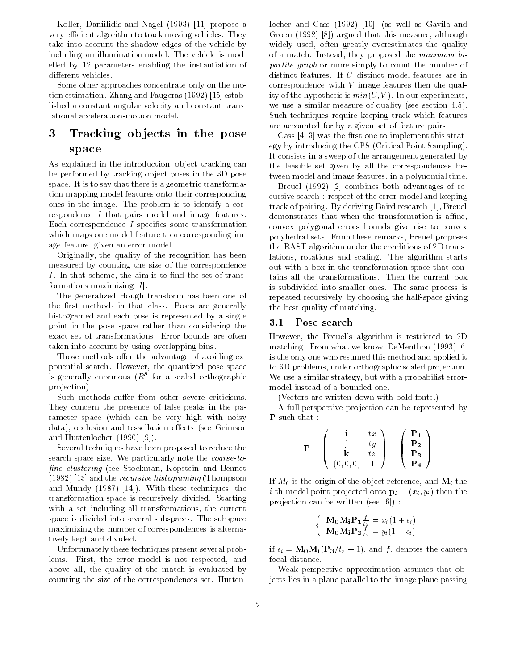Koller, Daniilidis and Nagel (1993) [11] propose a very efficient algorithm to track moving vehicles. They take into account the shadow edges of the vehicle by including an illumination model. The vehicle is modelled by 12 parameters enabling the instantiation of different vehicles.

Some other approaches concentrate only on the motion estimation. Zhang and Faugeras (1992) [15] established a constant angular velocity and constant translational acceleration-motion model.

## 3 Tracking ob jects in the pose space

As explained in the introduction, object tracking can be performed by tracking object poses in the 3D pose space. It is to say that there is a geometric transformation mapping model features onto their corresponding ones in the image. The problem is to identify a correspondence <sup>I</sup> that pairs model and image features. Each correspondence I specifies some transformation which maps one model feature to a corresponding image feature, given an error model.

Originally, the quality of the recognition has been measured by counting the size of the correspondence  $I$ . In that scheme, the aim is to find the set of transformations maximizing  $|I|$ .

The generalized Hough transform has been one of the first methods in that class. Poses are generally histogramed and each pose is represented by a single point in the pose space rather than considering the exact set of transformations. Error bounds are often taken into account by using overlapping bins.

Those methods offer the advantage of avoiding exponential search. However, the quantized pose space is generally enormous  $(R^{\pm}$  for a scaled orthographic projection).

Such methods suffer from other severe criticisms. They concern the presence of false peaks in the parameter space (which can be very high with noisy data), occlusion and tessellation effects (see Grimson and Huttenlocher (1990) [9]).

Several techniques have been proposed to reduce the search space size. We particularly note the coarse-to fine clustering (see Stockman, Kopstein and Bennet (1982) [13] and the recursive histograming (Thompsom and Mundy (1987) [14]). With these techniques, the transformation space is recursively divided. Starting with a set including all transformations, the current space is divided into several subspaces. The subspace maximizing the number of correspondences is alternatively kept and divided.

Unfortunately these techniques present several problems. First, the error model is not respected, and above all, the quality of the match is evaluated by counting the size of the correspondences set. Huttenlocher and Cass (1992) [10], (as well as Gavila and Groen (1992) [8]) argued that this measure, although widely used, often greatly overestimates the quality of a match. Instead, they proposed the maximum bipartite graph or more simply to count the number of distinct features. If <sup>U</sup> distinct model features are in correspondence with  $V$  image features then the quality of the hypothesis is  $min(U, V)$ . In our experiments, we use a similar measure of quality (see section 4.5). Such techniques require keeping track which features are accounted for by a given set of feature pairs.

Cass  $[4, 3]$  was the first one to implement this strategy by introducing the CPS (Critical Point Sampling). It consists in a sweep of the arrangement generated by the feasible set given by all the correspondences between model and image features, in a polynomial time.

Breuel (1992) [2] combines both advantages of recursive search : respect of the error model and keeping track of pairing. By deriving Baird research [1], Breuel demonstrates that when the transformation is affine, convex polygonal errors bounds give rise to convex polyhedral sets. From these remarks, Breuel proposes the RAST algorithm under the conditions of 2D translations, rotations and scaling. The algorithm starts out with a box in the transformation space that contains all the transformations. Then the current box is subdivided into smaller ones. The same process is repeated recursively, by choosing the half-space giving the best quality of matching.

#### 3.1Pose search

However, the Breuel's algorithm is restricted to 2D matching. From what we know, DeMenthon (1993) [6] is the only one who resumed this method and applied it to 3D problems, under orthographic scaled projection. We use a similar strategy, but with a probabilist errormodel instead of a bounded one.

(Vectors are written down with bold fonts.)

A full perspective projection can be represented by <sup>P</sup> such that :

$$
\mathbf{P} = \left( \begin{array}{ccc} \mathbf{i} & tx \\ \mathbf{j} & ty \\ \mathbf{k} & tz \\ (0,0,0) & 1 \end{array} \right) = \left( \begin{array}{c} \mathbf{P_1} \\ \mathbf{P_2} \\ \mathbf{P_3} \\ \mathbf{P_4} \end{array} \right)
$$

If  $M_0$  is the origin of the object reference, and  $M_i$  the *i*-th model point projected onto  $\mathbf{p}_i = (x_i, y_i)$  then the projection can be written (see [6]) :

$$
\begin{cases} \mathbf{M_0M_1P_1} \frac{f}{t_{\tilde{\ell}}} = x_i(1+\epsilon_i) \\ \mathbf{M_0M_1P_2} \frac{f}{t_{\tilde{\ell}}} = y_i(1+\epsilon_i) \end{cases}
$$

if  $\epsilon_i = M_0M_i(P_3/t_z - 1)$ , and f, denotes the camera focal distance.

Weak perspective approximation assumes that objects lies in a plane parallel to the image plane passing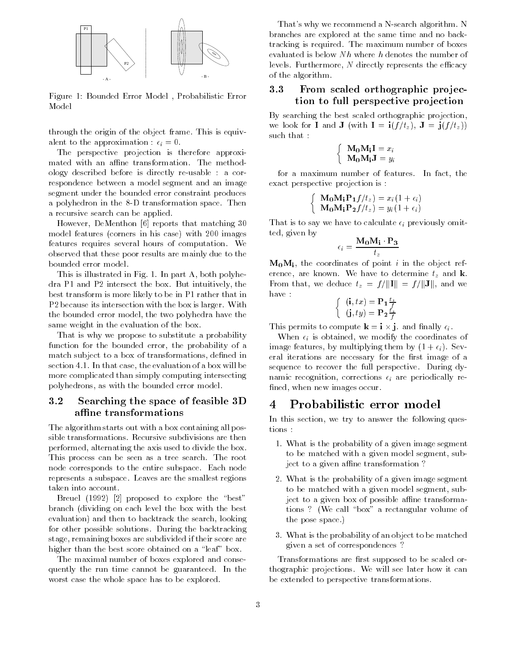

Figure 1: Bounded Error Model , Probabilistic Error Model

through the origin of the object frame. This is equivalent to the approximation :  $\epsilon_i = 0$ .

The perspective projection is therefore approximated with an affine transformation. The methodology described before is directly re-usable : a correspondence between a model segment and an image segment under the bounded error constraint produces a polyhedron in the 8-D transformation space. Then a recursive search can be applied.

However, DeMenthon [6] reports that matching 30 model features (corners in his case) with 200 images features requires several hours of computation. We observed that these poor results are mainly due to the bounded error model.

This is illustrated in Fig. 1. In part A, both polyhedra P1 and P2 intersect the box. But intuitively, the best transform is more likely to be in P1 rather that in P2 because its intersection with the box is larger. With the bounded error model, the two polyhedra have the same weight in the evaluation of the box.

That is why we propose to substitute a probability function for the bounded error, the probability of a match subject to a box of transformations, defined in section 4.1. In that case, the evaluation of a box will be more complicated than simply computing intersecting polyhedrons, as with the bounded error model.

### 3.2Searching the space of feasible  $3D_{\phantom{0}}-4$ affine transformations

The algorithm starts out with a box containing all possible transformations. Recursive subdivisions are then performed, alternating the axis used to divide the box. This process can be seen as a tree search. The root node corresponds to the entire subspace. Each node represents a subspace. Leaves are the smallest regions taken into account.

Breuel (1992) [2] proposed to explore the "best" branch (dividing on each level the box with the best evaluation) and then to backtrack the search, looking for other possible solutions. During the backtracking stage, remaining boxes are subdivided if their score are higher than the best score obtained on a "leaf" box.

The maximal number of boxes explored and consequently the run time cannot be guaranteed. In the worst case the whole space has to be explored.

That's why we recommend a N-search algorithm. N branches are explored at the same time and no backtracking is required. The maximum number of boxes evaluated is below  $Nh$  where h denotes the number of levels. Furthermore,  $N$  directly represents the efficacy of the algorithm.

### 3.3 From scaled orthographic pro jection to full perspective projection

By searching the best scaled orthographic projection, we look for **I** and **J** (with  $I = i(f/t_z)$ ,  $J = j(f/t_z)$ ) such that :

$$
\left\{\begin{array}{c} \mathbf{M_0} \mathbf{M_i} \mathbf{I} = x_i \\ \mathbf{M_0} \mathbf{M_i} \mathbf{J} = y_i \end{array}\right.
$$

for a maximum number of features. In fact, the exact perspective projection is :

$$
\begin{cases} \mathbf{M_0M_1P_1}f/t_z = x_i(1+\epsilon_i) \\ \mathbf{M_0M_1P_2}f/t_z = y_i(1+\epsilon_i) \end{cases}
$$

That is to say we have to calculate  $\epsilon_i$  previously omitted, given by

$$
\epsilon_i = \frac{{\bf M_0} {\bf M_i} \cdot {\bf P_3}}{t_z}
$$

 $M_0M_i$ , the coordinates of point i in the object reference, are known. We have to determine  $t_z$  and k. From that, we deduce  $t_z = f/||\mathbf{I}|| = f/||\mathbf{J}||$ , and we have :

$$
\left\{\begin{array}{c} (\mathbf{i},tx) = \mathbf{P_1} \frac{t_z}{f} \\ (\mathbf{j},ty) = \mathbf{P_2} \frac{t_z}{f} \end{array}\right.
$$

This permits to compute  $\mathbf{k} = \mathbf{i} \times \mathbf{j}$ , and finally  $\epsilon_i$ .

When  $\epsilon_i$  is obtained, we modify the coordinates of image features, by multiplying them by  $(1 + \epsilon_i)$ . Several iterations are necessary for the first image of a sequence to recover the full perspective. During dynamic recognition, corrections  $\epsilon_i$  are periodically refined, when new images occur.

## 4 Probabilistic error model

In this section, we try to answer the following ques-

- 1. What is the probability of a given image segment to be matched with a given model segment, subject to a given affine transformation?
- 2. What is the probability of a given image segment to be matched with a given model segment, subject to a given box of possible affine transformations ? (We call "box" a rectangular volume of the pose space.)
- 3. What is the probability of an object to be matched given a set of correspondences ?

Transformations are first supposed to be scaled orthographic projections. We will see later how it can be extended to perspective transformations.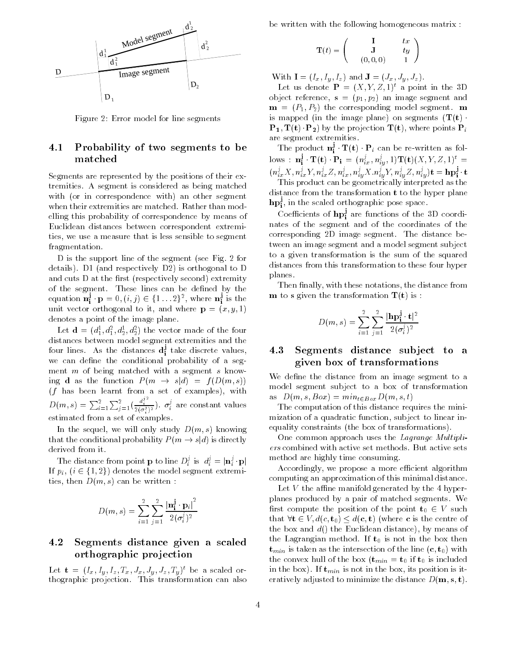

Figure 2: Error model for line segments

### 4.1 Probability of two segments to be matched

Segments are represented by the positions of their extremities. A segment is considered as being matched with (or in correspondence with) an other segment when their extremities are matched. Rather than modelling this probability of correspondence by means of Euclidean distances between correspondent extremities, we use a measure that is less sensible to segment fragmentation.

D is the support line of the segment (see Fig. 2 for details). D1 (and respectively D2) is orthogonal to D and cuts D at the first (respectively second) extremity of the segment. These lines can be defined by the equation  $\mathbf{n_i^j} \cdot \mathbf{p} = 0$ ,  $(i, j) \in \{1 \dots 2\}^2$ , where  $\mathbf{n_i^j}$  is the unit vector orthogonal to it, and where  $\mathbf{p} = (x, y, 1)$ denotes a point of the image plane.

Let  $\mathbf{d} = (d_1^*, d_1^*, d_2^*, d_2^*)$  the vector made of the four distances between model segment extremities and the four lines. As the distances  $\mathbf{d^2_i}$  take discrete values, we can define the conditional probability of a segment  $m$  of being matched with a segment  $s$  knowing **d** as the function  $P(m \rightarrow s|d) = f(D(m, s))$  $(f$  has been learnt from a set of examples), with  $D(m, s) = \sum_{i=1}^{2} \sum_{j=1}^{2} (\frac{d_i^{j}}{2(\sigma_i^j)^2})$ .  $\sigma_i^j$  are constant values estimated from a set of examples.

In the sequel, we will only study  $D(m, s)$  knowing that the conditional probability  $P(m \rightarrow s|d)$  is directly derived from it.

The distance from point **p** to line  $D_i^j$  is  $d_i^j = |\mathbf{n}_i^j \cdot \mathbf{p}|$ If  $p_i$ ,  $(i \in \{1, 2\})$  denotes the model segment extremities, then  $D(m, s)$  can be written :

$$
D(m,s)=\sum_{i=1}^2\sum_{j=1}^2\frac{\left|\textbf{n}_\textbf{i}^\textbf{j}\cdot\textbf{p}_i\right|^2}{2(\sigma_i^j)^2}
$$

### 4.2 Segments distance given a scaled orthographic pro jection

Let  $\mathbf{t} = (I_x, I_y, I_z, I_x, J_x, J_y, J_z, I_y)$  be a scaled orthographic projection. This transformation can also

be written with the following homogeneous matrix :

$$
\mathbf{T}(t) = \begin{pmatrix} \mathbf{I} & tx \\ \mathbf{J} & ty \\ (0,0,0) & 1 \end{pmatrix}
$$

With  $\mathbf{I} = (I_x, I_y, I_z)$  and  $\mathbf{J} = (J_x, J_y, J_z)$ .

Let us denote  $\mathbf{P} = (X, Y, Z, 1)^t$  a point in the 3D object reference,  $s = (p_1, p_2)$  an image segment and  $\mathbf{m} = (P_1, P_2)$  the corresponding model segment.  $\mathbf{m}$ is mapped (in the image plane) on segments  $(\mathbf{T}(\mathbf{t}))$ .  $\mathbf{P_1}, \mathbf{T(t)} \cdot \mathbf{P_2}$  by the projection  $\mathbf{T(t)}$ , where points  $\mathbf{P}_i$ 

The product  $\mathbf{n}_i^j \cdot \mathbf{T}(t) \cdot \mathbf{P}_i$  can be re-written as follows :  $\mathbf{n_i^2}$   $\mathbf{T(t)}$   $\mathbf{P_i} = (n_{ix}^{\prime}, n_{iy}^{\prime}, 1) \mathbf{T(t)} (X, Y, Z, 1)^{\prime}$  =  $(n_{ix}^{\prime}X, n_{ix}^{\prime}Y, n_{ix}^{\prime}Z, n_{ix}^{\prime}, n_{iy}^{\prime}X, n_{iy}^{\prime}Y, n_{iy}^{\prime}Z, n_{iy}^{\prime})$ t = hp<sub>i</sub> t

This product can be geometrically interpreted as the distance from the transformation <sup>t</sup> to the hyper plane  $\mathbf{hp^2_i},$  in the scaled orthographic pose space.

Coefficients of  $\mathbf{hp}_\mathbf{i}^s$  are functions of the 3D coordinates of the segment and of the coordinates of the corresponding 2D image segment. The distance between an image segment and a model segment subject to a given transformation is the sum of the squared distances from this transformation to these four hyper planes.

Then finally, with these notations, the distance from **m** to **s** given the transformation  $T(t)$  is :

$$
D(m, s) = \sum_{i=1}^{2} \sum_{j=1}^{2} \frac{|\mathbf{hp}_i^{\mathbf{j}} \cdot \mathbf{t}|^2}{2(\sigma_i^j)^2}
$$

### 4.3Segments distance subject to a given box of transformations

We define the distance from an image segment to a model segment subject to a box of transformation as  $D(m, s, Box) = min_{t \in Box} D(m, s, t)$ 

The computation of this distance requires the minimization of a quadratic function, subject to linear inequality constraints (the box of transformations).

One common approach uses the Lagrange Multipliers combined with active set methods. But active sets method are highly time consuming.

Accordingly, we propose a more efficient algorithm computing an approximation of this minimal distance.

Let  $V$  the affine manifold generated by the 4 hyperplanes produced by a pair of matched segments. We first compute the position of the point  $t_0 \in V$  such that  $\forall t \in V, d(c, t_0) \leq d(c, t)$  (where c is the centre of the box and  $d()$  the Euclidean distance), by means of the Lagrangian method. If  $t_0$  is not in the box then  $t_{min}$  is taken as the intersection of the line  $(c, t_0)$  with the convex hull of the box  $(\mathbf{t}_{min} = \mathbf{t}_0 \text{ if } \mathbf{t}_0 \text{ is included})$ in the box). If  $t_{min}$  is not in the box, its position is iteratively adjusted to minimize the distance  $D(\mathbf{m}, \mathbf{s}, \mathbf{t})$ .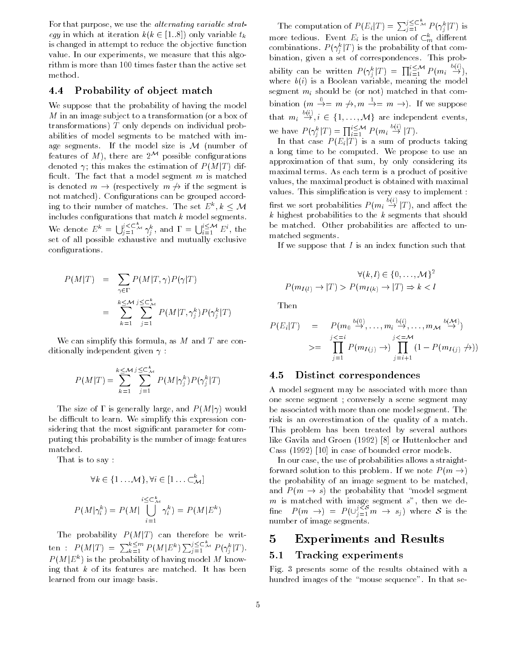For that purpose, we use the *alternating variable strat*egy in which at iteration  $k(k \in [1..8])$  only variable  $t_k$ is changed in attempt to reduce the objective function value. In our experiments, we measure that this algorithm is more than 100 times faster than the active set method.

#### 4.4Probability of ob ject match

We suppose that the probability of having the model <sup>M</sup> in an image subject to a transformation (or a box of transformations) <sup>T</sup> only depends on individual probabilities of model segments to be matched with image segments. If the model size is  $M$  (number of features of M), there are  $2^{\mathcal{M}}$  possible configurations denoted  $\gamma$ ; this makes the estimation of  $P(M|T)$  difficult. The fact that a model segment  $m$  is matched is denoted  $m \rightarrow$  (respectively  $m \not\rightarrow$  if the segment is not matched). Configurations can be grouped according to their number of matches. The set  $E^{\kappa}, k \leq \mathcal{M}$  hrs includes configurations that match  $k$  model segments. We denote  $E^k = \bigcup_{i=1}^{j \leq \subseteq \mathbb{Z}} \gamma_i^k$ , and  $\Gamma = \bigcup_{i=1}^{i \leq M} E^i$ , the set of all possible exhaustive and mutually exclusive congurations.

$$
P(M|T) = \sum_{\gamma \in \Gamma} P(M|T, \gamma) P(\gamma|T)
$$
  
= 
$$
\sum_{k=1}^{k \le M} \sum_{j=1}^{j \le k} P(M|T, \gamma_j^k) P(\gamma_j^k|T)
$$

We can simplify this formula, as  $M$  and  $T$  are conditionally independent given  $\gamma$ :

$$
P(M|T) = \sum_{k=1}^{k \le M} \sum_{j=1}^{j \le C_M^k} P(M|\gamma_j^k) P(\gamma_j^k|T)
$$

The size of  $\Gamma$  is generally large, and  $P(M|\gamma)$  would be difficult to learn. We simplify this expression considering that the most signicant parameter for computing this probability is the number of image features matched.

That is to say :

$$
\forall k \in \{1 \dots \mathcal{M}\}, \forall i \in [1 \dots \subset \mathcal{K}_{\mathcal{M}}]
$$

$$
i \leq \subset \mathcal{K}_{\mathcal{M}}
$$

$$
P(M|\gamma_i^k) = P(M|\bigcup_{i=1}^{i \leq \subset \mathcal{K}} \gamma_i^k) = P(M|E^k)
$$

The probability  $P(M|T)$  can therefore be written :  $P(M|T) = \sum_{k=1}^{k \le m} P(M|E^k) \sum_{j=1}^{j \le L} M P(\gamma_j^k|T).$  $P(M|E^k)$  is the probability of having model M knowing that  $k$  of its features are matched. It has been learned from our image basis.

The computation of  $P(E_i|T) = \sum_{i=1}^{3} \sum_{i=1}^{K} P(\gamma_i^k|T)$  is more tedious. Event  $E_i$  is the union of  $\subset_m^k$  different combinations.  $P(\gamma_j^k|T)$  is the probability of that combination, given a set of correspondences. This probability can be written  $P(\gamma_i^k|T) = \prod_{i=1}^{i \leq \mathcal{M}} P(m_i \stackrel{\sim}{\to} ),$ where  $b(i)$  is a Boolean variable, meaning the model segment  $m_i$  should be (or not) matched in that combination  $(m \rightarrow = m \rightarrow, m \rightarrow = m \rightarrow)$ . If we suppose that  $m_i \stackrel{\sim}{\rightarrow} i \in \{1, ..., M\}$  are independent events, we have  $P(\gamma_i^k|T) = \prod_{i=1}^{i \leq \mathcal{M}} P(m_i \stackrel{\varphi_{i,j}}{\rightarrow} |T)$ .

In that case  $P(E_i|T)$  is a sum of products taking a long time to be computed. We propose to use an approximation of that sum, by only considering its maximal terms. As each term is a product of positive values, the maximal product is obtained with maximal values. This simplication is very easy to implement : first we sort probabilities  $P(m_i \overset{\circ_{k} \cdot \cdot}{\rightarrow} |T)$ , and affect the k highest probabilities to the  $k$  segments that should be matched. Other probabilities are affected to unmatched segments.

If we suppose that  $I$  is an index function such that

$$
\forall (k,l) \in \{0,\ldots,\mathcal{M}\}^2
$$
  

$$
P(m_{I(l)} \to |T) > P(m_{I(k)} \to |T) \Rightarrow k < l
$$

Then

$$
P(E_i|T) = P(m_0 \stackrel{b(0)}{\rightarrow} \dots, m_i \stackrel{b(i)}{\rightarrow} \dots, m_M \stackrel{b(\mathcal{M})}{\rightarrow})
$$
  

$$
>= \prod_{j=1}^{j \leq i} P(m_{I(j)} \rightarrow) \prod_{j=i+1}^{k(\mathcal{M})} (1 - P(m_{I(j)} \nrightarrow))
$$

#### 4.5Distinct correspondences

A model segment may be associated with more than one scene segment ; conversely a scene segment may be associated with more than one model segment. The risk is an overestimation of the quality of a match. This problem has been treated by several authors like Gavila and Groen (1992) [8] or Huttenlocher and Cass (1992) [10] in case of bounded error models.

In our case, the use of probabilities allows a straightforward solution to this problem. If we note  $P(m \rightarrow)$ the probability of an image segment to be matched, and  $P(m \rightarrow s)$  the probability that "model segment" fine  $P(m \to) = P(\bigcup_{j=1}^{3 \leq S} m \to s_j)$  where S is the number of image segments.

### $\overline{5}$ 5 Experiments and Results

#### 5.1Tracking experiments

Fig. 3 presents some of the results obtained with a hundred images of the "mouse sequence". In that se-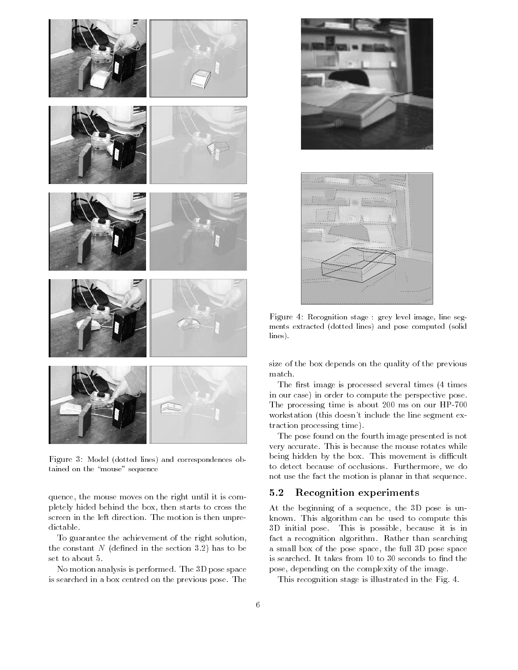

Figure 3: Model (dotted lines) and correspondences obtained on the "mouse" sequence

quence, the mouse moves on the right until it is completely hided behind the box, then starts to cross the screen in the left direction. The motion is then unpredictable.

To guarantee the achievement of the right solution, the constant  $N$  (defined in the section 3.2) has to be set to about 5.

No motion analysis is performed. The 3D pose space is searched in a box centred on the previous pose. The





Figure 4: Recognition stage : grey level image, line seg ments extracted (dotted lines) and pose computed (solidlines).

size of the box depends on the quality of the previous match.

The first image is processed several times (4 times in our case) in order to compute the perspective pose. The processing time is about 200 ms on our HP-700 workstation (this doesn't include the line segment extraction processing time).

The pose found on the fourth image presented is not very accurate. This is because the mouse rotates while being hidden by the box. This movement is difficult to detect because of occlusions. Furthermore, we do not use the fact the motion is planar in that sequence.

#### 5.2Recognition experiments

At the beginning of a sequence, the 3D pose is unknown. This algorithm can be used to compute this 3D initial pose. This is possible, because it is in fact a recognition algorithm. Rather than searching a small box of the pose space, the full 3D pose space is searched. It takes from 10 to 30 seconds to find the pose, depending on the complexity of the image.

This recognition stage is illustrated in the Fig. 4.